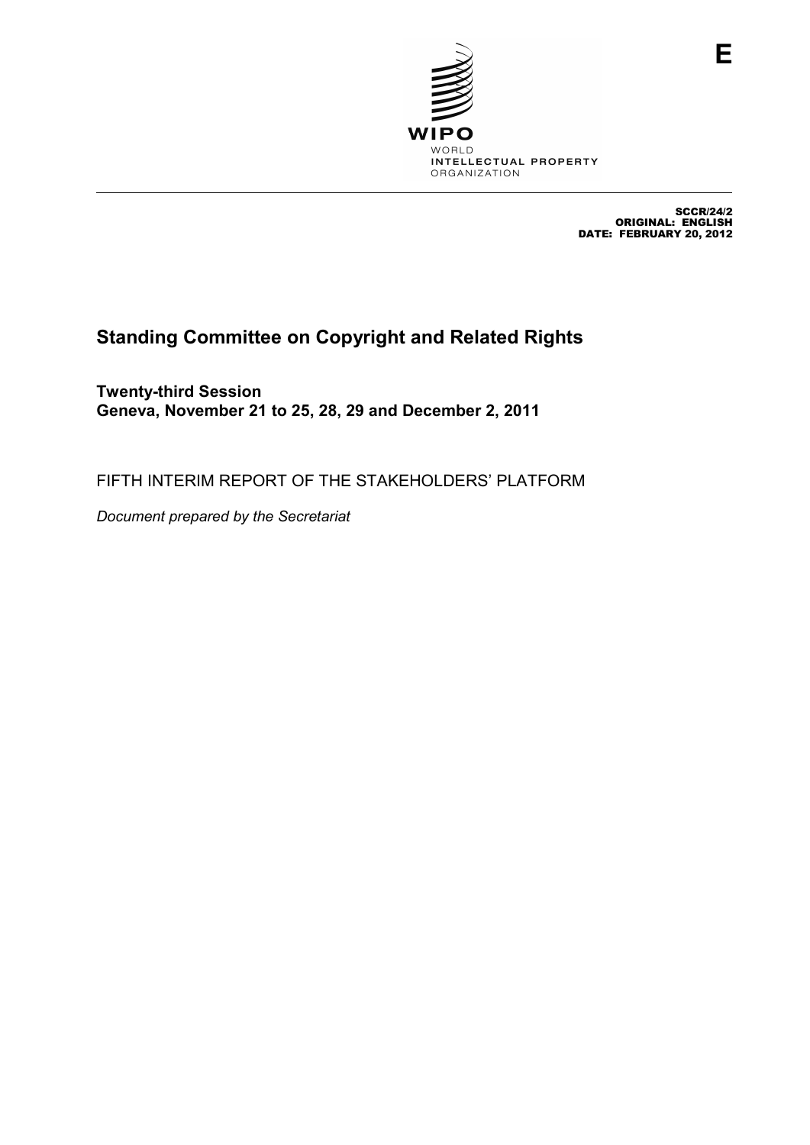

SCCR/24/2 ORIGINAL: ENGLISH DATE: FEBRUARY 20, 2012

# **Standing Committee on Copyright and Related Rights**

**Twenty-third Session Geneva, November 21 to 25, 28, 29 and December 2, 2011** 

FIFTH INTERIM REPORT OF THE STAKEHOLDERS' PLATFORM

*Document prepared by the Secretariat*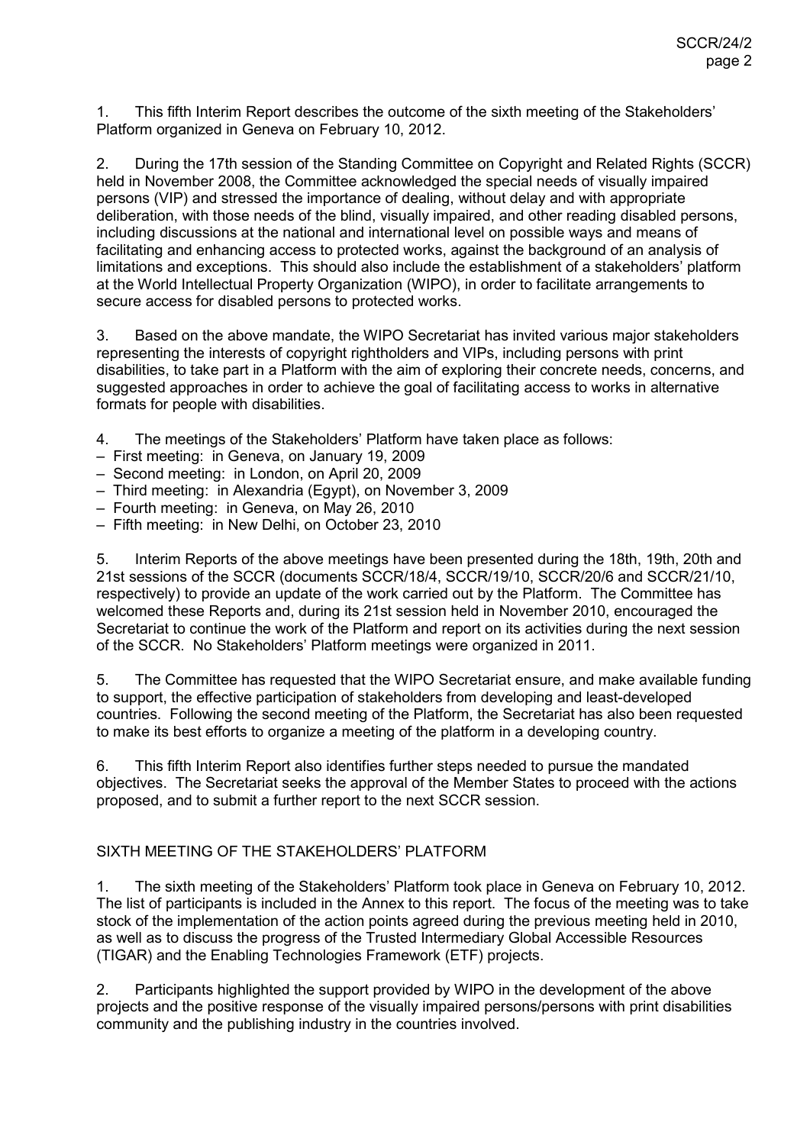1. This fifth Interim Report describes the outcome of the sixth meeting of the Stakeholders' Platform organized in Geneva on February 10, 2012.

2. During the 17th session of the Standing Committee on Copyright and Related Rights (SCCR) held in November 2008, the Committee acknowledged the special needs of visually impaired persons (VIP) and stressed the importance of dealing, without delay and with appropriate deliberation, with those needs of the blind, visually impaired, and other reading disabled persons, including discussions at the national and international level on possible ways and means of facilitating and enhancing access to protected works, against the background of an analysis of limitations and exceptions. This should also include the establishment of a stakeholders' platform at the World Intellectual Property Organization (WIPO), in order to facilitate arrangements to secure access for disabled persons to protected works.

3. Based on the above mandate, the WIPO Secretariat has invited various major stakeholders representing the interests of copyright rightholders and VIPs, including persons with print disabilities, to take part in a Platform with the aim of exploring their concrete needs, concerns, and suggested approaches in order to achieve the goal of facilitating access to works in alternative formats for people with disabilities.

- 4. The meetings of the Stakeholders' Platform have taken place as follows:
- First meeting: in Geneva, on January 19, 2009
- Second meeting: in London, on April 20, 2009
- Third meeting: in Alexandria (Egypt), on November 3, 2009
- Fourth meeting: in Geneva, on May 26, 2010
- Fifth meeting: in New Delhi, on October 23, 2010

5. Interim Reports of the above meetings have been presented during the 18th, 19th, 20th and 21st sessions of the SCCR (documents SCCR/18/4, SCCR/19/10, SCCR/20/6 and SCCR/21/10, respectively) to provide an update of the work carried out by the Platform. The Committee has welcomed these Reports and, during its 21st session held in November 2010, encouraged the Secretariat to continue the work of the Platform and report on its activities during the next session of the SCCR. No Stakeholders' Platform meetings were organized in 2011.

5. The Committee has requested that the WIPO Secretariat ensure, and make available funding to support, the effective participation of stakeholders from developing and least-developed countries. Following the second meeting of the Platform, the Secretariat has also been requested to make its best efforts to organize a meeting of the platform in a developing country.

6. This fifth Interim Report also identifies further steps needed to pursue the mandated objectives. The Secretariat seeks the approval of the Member States to proceed with the actions proposed, and to submit a further report to the next SCCR session.

### SIXTH MEETING OF THE STAKEHOLDERS' PLATFORM

1. The sixth meeting of the Stakeholders' Platform took place in Geneva on February 10, 2012. The list of participants is included in the Annex to this report. The focus of the meeting was to take stock of the implementation of the action points agreed during the previous meeting held in 2010, as well as to discuss the progress of the Trusted Intermediary Global Accessible Resources (TIGAR) and the Enabling Technologies Framework (ETF) projects.

2. Participants highlighted the support provided by WIPO in the development of the above projects and the positive response of the visually impaired persons/persons with print disabilities community and the publishing industry in the countries involved.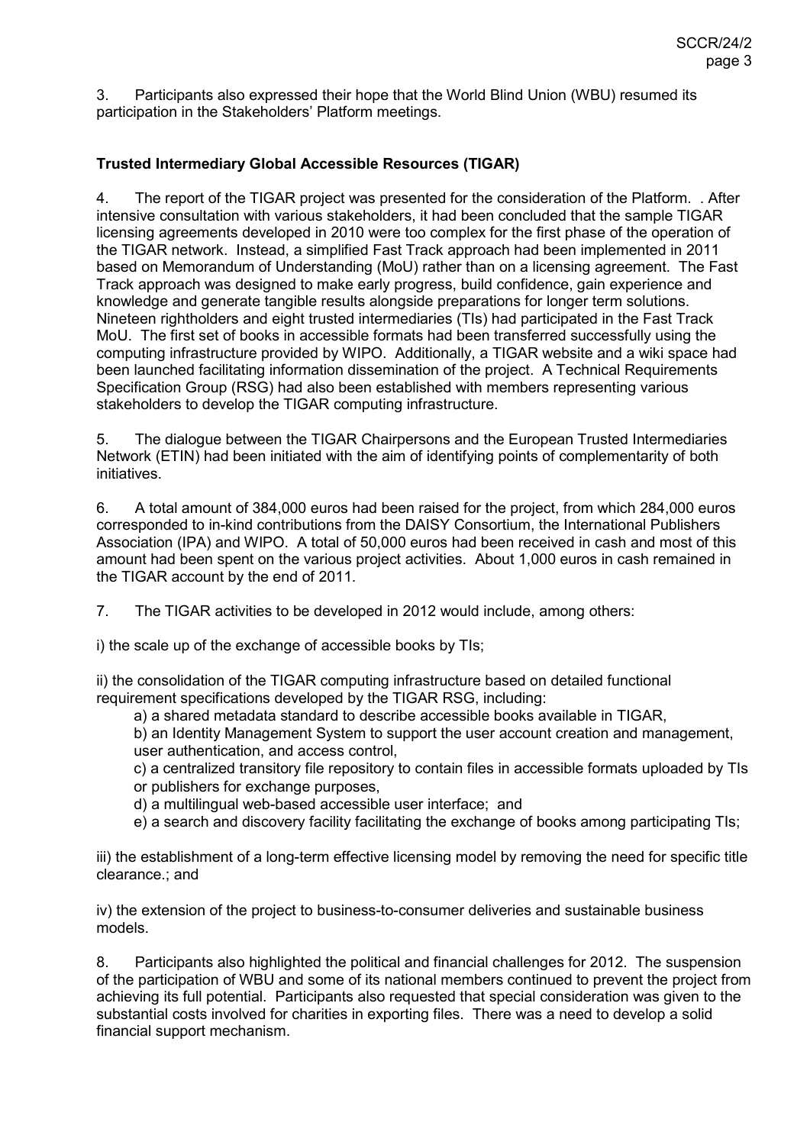3. Participants also expressed their hope that the World Blind Union (WBU) resumed its participation in the Stakeholders' Platform meetings.

## **Trusted Intermediary Global Accessible Resources (TIGAR)**

4. The report of the TIGAR project was presented for the consideration of the Platform. . After intensive consultation with various stakeholders, it had been concluded that the sample TIGAR licensing agreements developed in 2010 were too complex for the first phase of the operation of the TIGAR network. Instead, a simplified Fast Track approach had been implemented in 2011 based on Memorandum of Understanding (MoU) rather than on a licensing agreement. The Fast Track approach was designed to make early progress, build confidence, gain experience and knowledge and generate tangible results alongside preparations for longer term solutions. Nineteen rightholders and eight trusted intermediaries (TIs) had participated in the Fast Track MoU. The first set of books in accessible formats had been transferred successfully using the computing infrastructure provided by WIPO. Additionally, a TIGAR website and a wiki space had been launched facilitating information dissemination of the project. A Technical Requirements Specification Group (RSG) had also been established with members representing various stakeholders to develop the TIGAR computing infrastructure.

5. The dialogue between the TIGAR Chairpersons and the European Trusted Intermediaries Network (ETIN) had been initiated with the aim of identifying points of complementarity of both initiatives.

6. A total amount of 384,000 euros had been raised for the project, from which 284,000 euros corresponded to in-kind contributions from the DAISY Consortium, the International Publishers Association (IPA) and WIPO. A total of 50,000 euros had been received in cash and most of this amount had been spent on the various project activities. About 1,000 euros in cash remained in the TIGAR account by the end of 2011.

7. The TIGAR activities to be developed in 2012 would include, among others:

i) the scale up of the exchange of accessible books by TIs;

ii) the consolidation of the TIGAR computing infrastructure based on detailed functional requirement specifications developed by the TIGAR RSG, including:

a) a shared metadata standard to describe accessible books available in TIGAR,

b) an Identity Management System to support the user account creation and management, user authentication, and access control,

c) a centralized transitory file repository to contain files in accessible formats uploaded by TIs or publishers for exchange purposes,

d) a multilingual web-based accessible user interface; and

e) a search and discovery facility facilitating the exchange of books among participating TIs;

iii) the establishment of a long-term effective licensing model by removing the need for specific title clearance.; and

iv) the extension of the project to business-to-consumer deliveries and sustainable business models.

8. Participants also highlighted the political and financial challenges for 2012. The suspension of the participation of WBU and some of its national members continued to prevent the project from achieving its full potential. Participants also requested that special consideration was given to the substantial costs involved for charities in exporting files. There was a need to develop a solid financial support mechanism.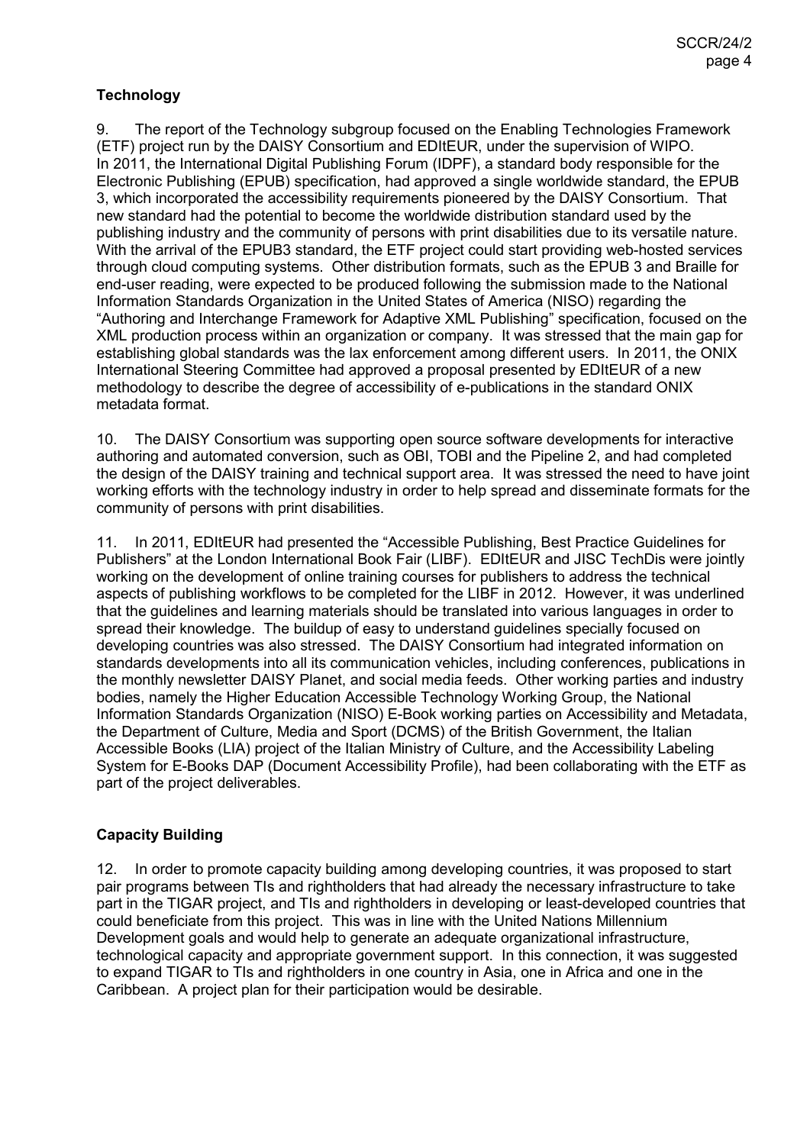## **Technology**

9. The report of the Technology subgroup focused on the Enabling Technologies Framework (ETF) project run by the DAISY Consortium and EDItEUR, under the supervision of WIPO. In 2011, the International Digital Publishing Forum (IDPF), a standard body responsible for the Electronic Publishing (EPUB) specification, had approved a single worldwide standard, the EPUB 3, which incorporated the accessibility requirements pioneered by the DAISY Consortium. That new standard had the potential to become the worldwide distribution standard used by the publishing industry and the community of persons with print disabilities due to its versatile nature. With the arrival of the EPUB3 standard, the ETF project could start providing web-hosted services through cloud computing systems. Other distribution formats, such as the EPUB 3 and Braille for end-user reading, were expected to be produced following the submission made to the National Information Standards Organization in the United States of America (NISO) regarding the "Authoring and Interchange Framework for Adaptive XML Publishing" specification, focused on the XML production process within an organization or company. It was stressed that the main gap for establishing global standards was the lax enforcement among different users. In 2011, the ONIX International Steering Committee had approved a proposal presented by EDItEUR of a new methodology to describe the degree of accessibility of e-publications in the standard ONIX metadata format.

10. The DAISY Consortium was supporting open source software developments for interactive authoring and automated conversion, such as OBI, TOBI and the Pipeline 2, and had completed the design of the DAISY training and technical support area. It was stressed the need to have joint working efforts with the technology industry in order to help spread and disseminate formats for the community of persons with print disabilities.

11. In 2011, EDItEUR had presented the "Accessible Publishing, Best Practice Guidelines for Publishers" at the London International Book Fair (LIBF). EDItEUR and JISC TechDis were jointly working on the development of online training courses for publishers to address the technical aspects of publishing workflows to be completed for the LIBF in 2012. However, it was underlined that the guidelines and learning materials should be translated into various languages in order to spread their knowledge. The buildup of easy to understand guidelines specially focused on developing countries was also stressed. The DAISY Consortium had integrated information on standards developments into all its communication vehicles, including conferences, publications in the monthly newsletter DAISY Planet, and social media feeds. Other working parties and industry bodies, namely the Higher Education Accessible Technology Working Group, the National Information Standards Organization (NISO) E-Book working parties on Accessibility and Metadata, the Department of Culture, Media and Sport (DCMS) of the British Government, the Italian Accessible Books (LIA) project of the Italian Ministry of Culture, and the Accessibility Labeling System for E-Books DAP (Document Accessibility Profile), had been collaborating with the ETF as part of the project deliverables.

## **Capacity Building**

12. In order to promote capacity building among developing countries, it was proposed to start pair programs between TIs and rightholders that had already the necessary infrastructure to take part in the TIGAR project, and TIs and rightholders in developing or least-developed countries that could beneficiate from this project. This was in line with the United Nations Millennium Development goals and would help to generate an adequate organizational infrastructure, technological capacity and appropriate government support. In this connection, it was suggested to expand TIGAR to TIs and rightholders in one country in Asia, one in Africa and one in the Caribbean. A project plan for their participation would be desirable.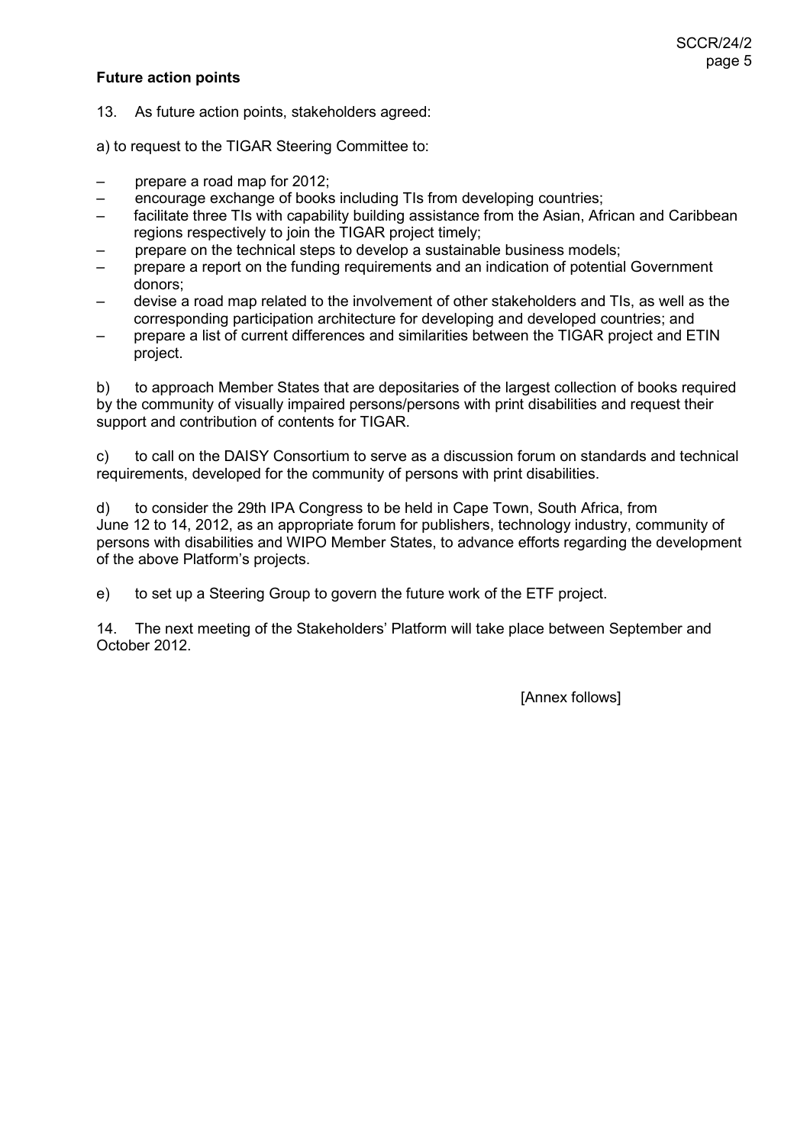## **Future action points**

13. As future action points, stakeholders agreed:

a) to request to the TIGAR Steering Committee to:

- prepare a road map for 2012;
- encourage exchange of books including TIs from developing countries;
- facilitate three TIs with capability building assistance from the Asian, African and Caribbean regions respectively to join the TIGAR project timely:
- prepare on the technical steps to develop a sustainable business models;
- prepare a report on the funding requirements and an indication of potential Government donors;
- devise a road map related to the involvement of other stakeholders and TIs, as well as the corresponding participation architecture for developing and developed countries; and
- prepare a list of current differences and similarities between the TIGAR project and ETIN project.

b) to approach Member States that are depositaries of the largest collection of books required by the community of visually impaired persons/persons with print disabilities and request their support and contribution of contents for TIGAR.

c) to call on the DAISY Consortium to serve as a discussion forum on standards and technical requirements, developed for the community of persons with print disabilities.

d) to consider the 29th IPA Congress to be held in Cape Town, South Africa, from June 12 to 14, 2012, as an appropriate forum for publishers, technology industry, community of persons with disabilities and WIPO Member States, to advance efforts regarding the development of the above Platform's projects.

e) to set up a Steering Group to govern the future work of the ETF project.

14. The next meeting of the Stakeholders' Platform will take place between September and October 2012.

[Annex follows]